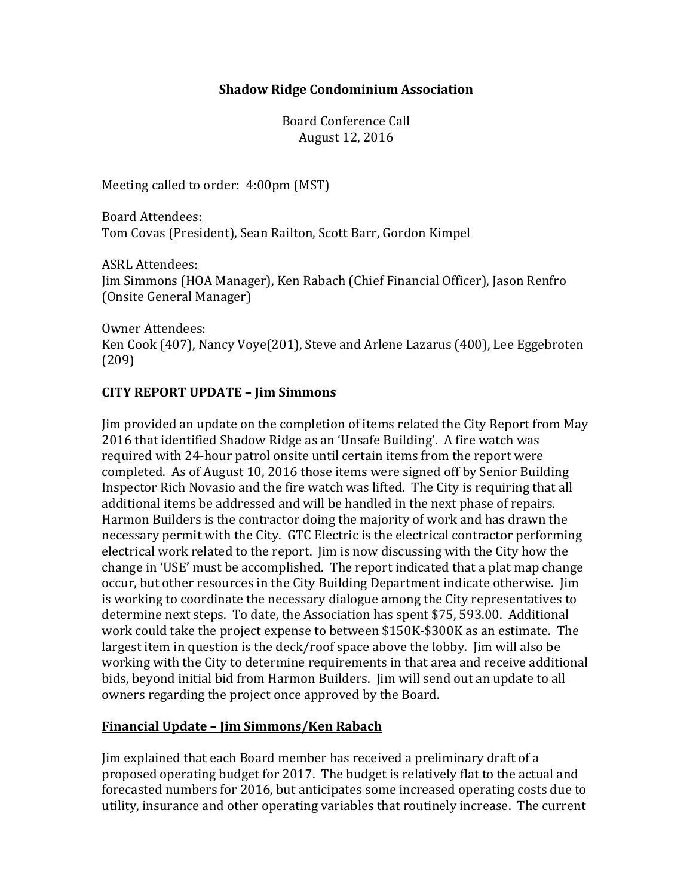### **Shadow Ridge Condominium Association**

Board Conference Call August 12, 2016

Meeting called to order: 4:00pm (MST)

Board Attendees: Tom Covas (President), Sean Railton, Scott Barr, Gordon Kimpel

**ASRL Attendees:** Jim Simmons (HOA Manager), Ken Rabach (Chief Financial Officer), Jason Renfro (Onsite General Manager)

Owner Attendees: Ken Cook (407), Nancy Voye(201), Steve and Arlene Lazarus (400), Lee Eggebroten (209)

# **CITY REPORT UPDATE – Jim Simmons**

Jim provided an update on the completion of items related the City Report from May 2016 that identified Shadow Ridge as an 'Unsafe Building'. A fire watch was required with 24-hour patrol onsite until certain items from the report were completed. As of August 10, 2016 those items were signed off by Senior Building Inspector Rich Novasio and the fire watch was lifted. The City is requiring that all additional items be addressed and will be handled in the next phase of repairs. Harmon Builders is the contractor doing the majority of work and has drawn the necessary permit with the City. GTC Electric is the electrical contractor performing electrical work related to the report. Iim is now discussing with the City how the change in 'USE' must be accomplished. The report indicated that a plat map change occur, but other resources in the City Building Department indicate otherwise. Jim is working to coordinate the necessary dialogue among the City representatives to determine next steps. To date, the Association has spent \$75, 593.00. Additional work could take the project expense to between \$150K-\$300K as an estimate. The largest item in question is the  $deck/root$  space above the lobby. I im will also be working with the City to determine requirements in that area and receive additional bids, beyond initial bid from Harmon Builders. Iim will send out an update to all owners regarding the project once approved by the Board.

### **Financial Update – Jim Simmons/Ken Rabach**

Jim explained that each Board member has received a preliminary draft of a proposed operating budget for 2017. The budget is relatively flat to the actual and forecasted numbers for 2016, but anticipates some increased operating costs due to utility, insurance and other operating variables that routinely increase. The current